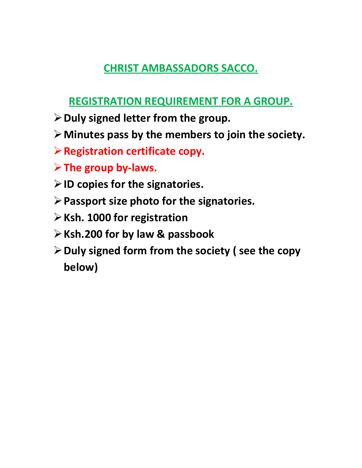# **CHRIST AMBASSADORS SACCO.**

# **REGISTRATION REQUIREMENT FOR A GROUP.**

- **Duly signed letter from the group.**
- **Minutes pass by the members to join the society.**
- **Registration certificate copy.**
- **The group by-laws.**
- **ID copies for the signatories.**
- **Passport size photo for the signatories.**
- **Ksh. 1000 for registration**
- **Ksh.200 for by law & passbook**
- **Duly signed form from the society ( see the copy below)**